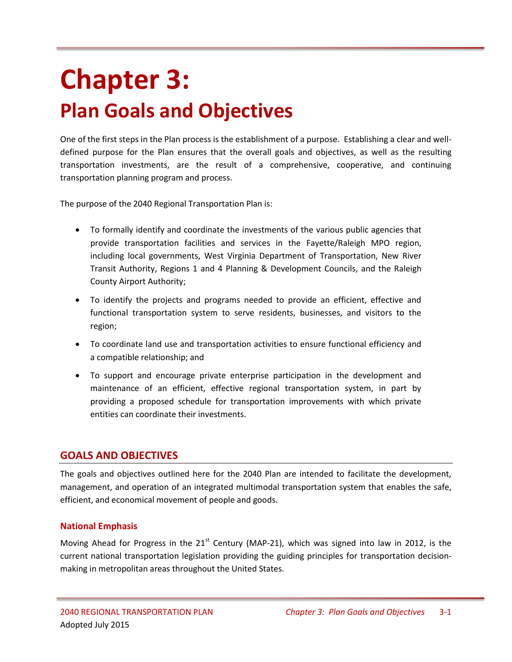# **Chapter 3: Plan Goals and Objectives**

One of the first steps in the Plan process is the establishment of a purpose. Establishing a clear and welldefined purpose for the Plan ensures that the overall goals and objectives, as well as the resulting transportation investments, are the result of a comprehensive, cooperative, and continuing transportation planning program and process.

The purpose of the 2040 Regional Transportation Plan is:

- To formally identify and coordinate the investments of the various public agencies that provide transportation facilities and services in the Fayette/Raleigh MPO region, including local governments, West Virginia Department of Transportation, New River Transit Authority, Regions 1 and 4 Planning & Development Councils, and the Raleigh County Airport Authority;
- To identify the projects and programs needed to provide an efficient, effective and functional transportation system to serve residents, businesses, and visitors to the region;
- To coordinate land use and transportation activities to ensure functional efficiency and a compatible relationship; and
- To support and encourage private enterprise participation in the development and maintenance of an efficient, effective regional transportation system, in part by providing a proposed schedule for transportation improvements with which private entities can coordinate their investments.

## **GOALS AND OBJECTIVES**

The goals and objectives outlined here for the 2040 Plan are intended to facilitate the development, management, and operation of an integrated multimodal transportation system that enables the safe, efficient, and economical movement of people and goods.

## **National Emphasis**

Moving Ahead for Progress in the  $21<sup>st</sup>$  Century (MAP-21), which was signed into law in 2012, is the current national transportation legislation providing the guiding principles for transportation decisionmaking in metropolitan areas throughout the United States.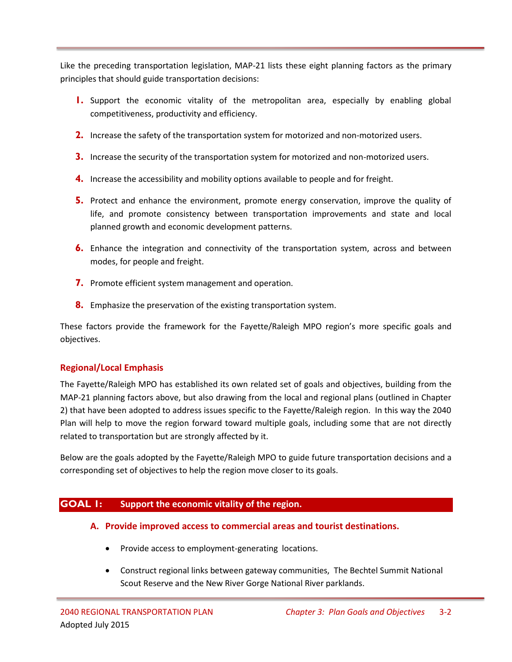Like the preceding transportation legislation, MAP-21 lists these eight planning factors as the primary principles that should guide transportation decisions:

- **1.** Support the economic vitality of the metropolitan area, especially by enabling global competitiveness, productivity and efficiency.
- **2.** Increase the safety of the transportation system for motorized and non-motorized users.
- **3.** Increase the security of the transportation system for motorized and non-motorized users.
- **4.** Increase the accessibility and mobility options available to people and for freight.
- **5.** Protect and enhance the environment, promote energy conservation, improve the quality of life, and promote consistency between transportation improvements and state and local planned growth and economic development patterns.
- **6.** Enhance the integration and connectivity of the transportation system, across and between modes, for people and freight.
- **7.** Promote efficient system management and operation.
- **8.** Emphasize the preservation of the existing transportation system.

These factors provide the framework for the Fayette/Raleigh MPO region's more specific goals and objectives.

# **Regional/Local Emphasis**

The Fayette/Raleigh MPO has established its own related set of goals and objectives, building from the MAP-21 planning factors above, but also drawing from the local and regional plans (outlined in Chapter 2) that have been adopted to address issues specific to the Fayette/Raleigh region. In this way the 2040 Plan will help to move the region forward toward multiple goals, including some that are not directly related to transportation but are strongly affected by it.

Below are the goals adopted by the Fayette/Raleigh MPO to guide future transportation decisions and a corresponding set of objectives to help the region move closer to its goals.

# **GOAL 1: Support the economic vitality of the region.**

- **A. Provide improved access to commercial areas and tourist destinations.**
	- Provide access to employment-generating locations.
	- Construct regional links between gateway communities, The Bechtel Summit National Scout Reserve and the New River Gorge National River parklands.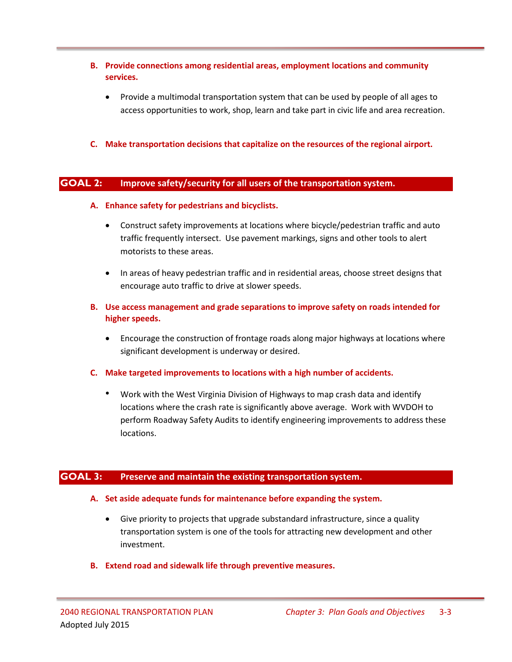- **B. Provide connections among residential areas, employment locations and community services.**
	- Provide a multimodal transportation system that can be used by people of all ages to access opportunities to work, shop, learn and take part in civic life and area recreation.
- **C. Make transportation decisions that capitalize on the resources of the regional airport.**

## **GOAL 2: Improve safety/security for all users of the transportation system.**

- **A. Enhance safety for pedestrians and bicyclists.**
	- Construct safety improvements at locations where bicycle/pedestrian traffic and auto traffic frequently intersect. Use pavement markings, signs and other tools to alert motorists to these areas.
	- In areas of heavy pedestrian traffic and in residential areas, choose street designs that encourage auto traffic to drive at slower speeds.
- **B. Use access management and grade separations to improve safety on roads intended for higher speeds.**
	- Encourage the construction of frontage roads along major highways at locations where significant development is underway or desired.
- **C. Make targeted improvements to locations with a high number of accidents.** 
	- Work with the West Virginia Division of Highways to map crash data and identify locations where the crash rate is significantly above average. Work with WVDOH to perform Roadway Safety Audits to identify engineering improvements to address these locations.

## **GOAL 3: Preserve and maintain the existing transportation system.**

- **A. Set aside adequate funds for maintenance before expanding the system.**
	- Give priority to projects that upgrade substandard infrastructure, since a quality transportation system is one of the tools for attracting new development and other investment.
- **B. Extend road and sidewalk life through preventive measures.**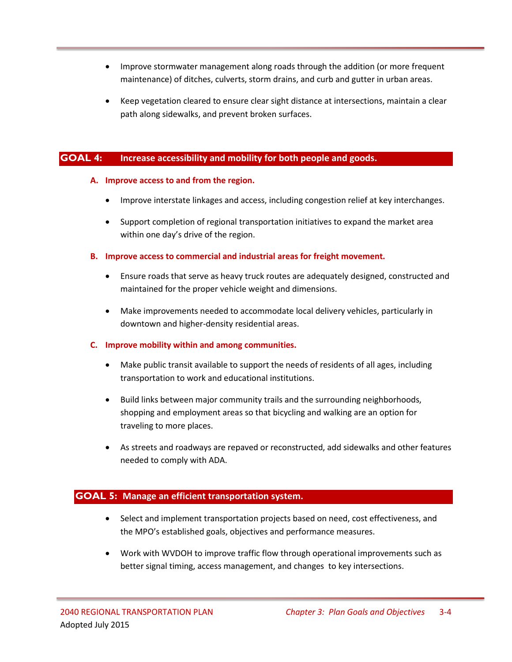- Improve stormwater management along roads through the addition (or more frequent maintenance) of ditches, culverts, storm drains, and curb and gutter in urban areas.
- Keep vegetation cleared to ensure clear sight distance at intersections, maintain a clear path along sidewalks, and prevent broken surfaces.

## **GOAL 4: Increase accessibility and mobility for both people and goods.**

#### **A. Improve access to and from the region.**

- Improve interstate linkages and access, including congestion relief at key interchanges.
- Support completion of regional transportation initiatives to expand the market area within one day's drive of the region.

#### **B. Improve access to commercial and industrial areas for freight movement.**

- Ensure roads that serve as heavy truck routes are adequately designed, constructed and maintained for the proper vehicle weight and dimensions.
- Make improvements needed to accommodate local delivery vehicles, particularly in downtown and higher-density residential areas.

#### **C. Improve mobility within and among communities.**

- Make public transit available to support the needs of residents of all ages, including transportation to work and educational institutions.
- Build links between major community trails and the surrounding neighborhoods, shopping and employment areas so that bicycling and walking are an option for traveling to more places.
- As streets and roadways are repaved or reconstructed, add sidewalks and other features needed to comply with ADA.

## **GOAL 5: Manage an efficient transportation system.**

- Select and implement transportation projects based on need, cost effectiveness, and the MPO's established goals, objectives and performance measures.
- Work with WVDOH to improve traffic flow through operational improvements such as better signal timing, access management, and changes to key intersections.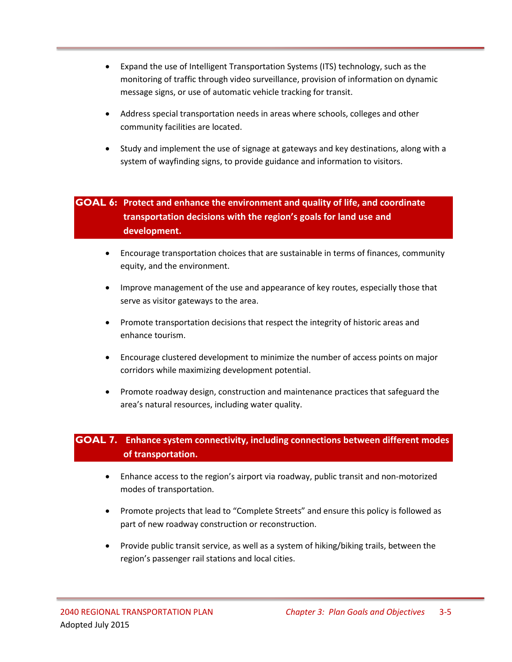- Expand the use of Intelligent Transportation Systems (ITS) technology, such as the monitoring of traffic through video surveillance, provision of information on dynamic message signs, or use of automatic vehicle tracking for transit.
- Address special transportation needs in areas where schools, colleges and other community facilities are located.
- Study and implement the use of signage at gateways and key destinations, along with a system of wayfinding signs, to provide guidance and information to visitors.

# **GOAL 6: Protect and enhance the environment and quality of life, and coordinate transportation decisions with the region's goals for land use and development.**

- Encourage transportation choices that are sustainable in terms of finances, community equity, and the environment.
- Improve management of the use and appearance of key routes, especially those that serve as visitor gateways to the area.
- Promote transportation decisions that respect the integrity of historic areas and enhance tourism.
- Encourage clustered development to minimize the number of access points on major corridors while maximizing development potential.
- Promote roadway design, construction and maintenance practices that safeguard the area's natural resources, including water quality.

# **GOAL 7. Enhance system connectivity, including connections between different modes of transportation.**

- Enhance access to the region's airport via roadway, public transit and non-motorized modes of transportation.
- Promote projects that lead to "Complete Streets" and ensure this policy is followed as part of new roadway construction or reconstruction.
- Provide public transit service, as well as a system of hiking/biking trails, between the region's passenger rail stations and local cities.